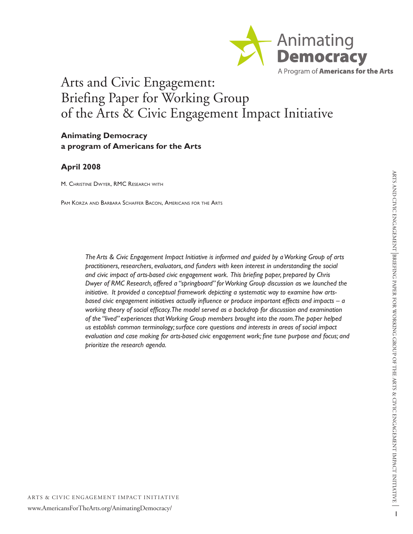

# Arts and Civic Engagement: Briefing Paper for Working Group of the Arts & Civic Engagement Impact Initiative

### **Animating Democracy a program of Americans for the Arts**

### **April 2008**

M. CHRISTINE DWYER, RMC RESEARCH WITH

Pam Korza and Barbara Schaffer Bacon, Americans for the Arts

*The Arts & Civic Engagement Impact Initiative is informed and guided by a Working Group of arts practitioners, researchers, evaluators, and funders with keen interest in understanding the social and civic impact of arts-based civic engagement work. This briefing paper, prepared by Chris Dwyer of RMC Research, offered a "springboard" for Working Group discussion as we launched the initiative. It provided a conceptual framework depicting a systematic way to examine how artsbased civic engagement initiatives actually influence or produce important effects and impacts – a working theory of social efficacy. The model served as a backdrop for discussion and examination of the "lived" experiences that Working Group members brought into the room. The paper helped us establish common terminology; surface core questions and interests in areas of social impact evaluation and case making for arts-based civic engagement work; fine tune purpose and focus; and prioritize the research agenda.*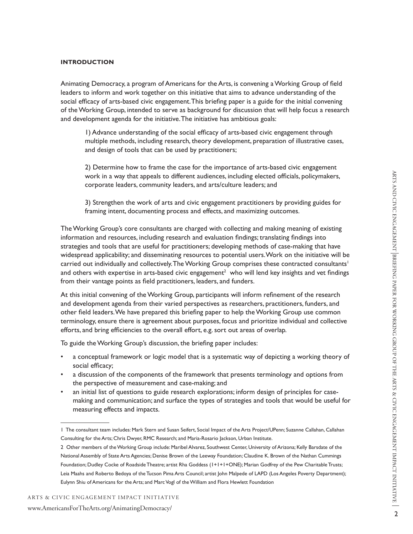#### **Introduction**

Animating Democracy, a program of Americans for the Arts, is convening a Working Group of field leaders to inform and work together on this initiative that aims to advance understanding of the social efficacy of arts-based civic engagement. This briefing paper is a guide for the initial convening of the Working Group, intended to serve as background for discussion that will help focus a research and development agenda for the initiative. The initiative has ambitious goals:

1) Advance understanding of the social efficacy of arts-based civic engagement through multiple methods, including research, theory development, preparation of illustrative cases, and design of tools that can be used by practitioners;

2) Determine how to frame the case for the importance of arts-based civic engagement work in a way that appeals to different audiences, including elected officials, policymakers, corporate leaders, community leaders, and arts/culture leaders; and

3) Strengthen the work of arts and civic engagement practitioners by providing guides for framing intent, documenting process and effects, and maximizing outcomes.

The Working Group's core consultants are charged with collecting and making meaning of existing information and resources, including research and evaluation findings; translating findings into strategies and tools that are useful for practitioners; developing methods of case-making that have widespread applicability; and disseminating resources to potential users. Work on the initiative will be carried out individually and collectively. The Working Group comprises these contracted consultants<sup>1</sup> and others with expertise in arts-based civic engagement $^{\text{2}}$  who will lend key insights and vet findings from their vantage points as field practitioners, leaders, and funders.

At this initial convening of the Working Group, participants will inform refinement of the research and development agenda from their varied perspectives as researchers, practitioners, funders, and other field leaders. We have prepared this briefing paper to help the Working Group use common terminology, ensure there is agreement about purposes, focus and prioritize individual and collective efforts, and bring efficiencies to the overall effort, e.g. sort out areas of overlap.

To guide the Working Group's discussion, the briefing paper includes:

- a conceptual framework or logic model that is a systematic way of depicting a working theory of social efficacy;
- a discussion of the components of the framework that presents terminology and options from the perspective of measurement and case-making; and
- an initial list of questions to guide research explorations; inform design of principles for casemaking and communication; and surface the types of strategies and tools that would be useful for measuring effects and impacts.

<sup>1</sup> The consultant team includes: Mark Stern and Susan Seifert, Social Impact of the Arts Project/UPenn; Suzanne Callahan, Callahan Consulting for the Arts; Chris Dwyer, RMC Research; and Maria-Rosario Jackson, Urban Institute.

<sup>2</sup> Other members of the Working Group include: Maribel Alvarez, Southwest Center, University of Arizona; Kelly Barsdate of the National Assembly of State Arts Agencies; Denise Brown of the Leeway Foundation; Claudine K. Brown of the Nathan Cummings Foundation; Dudley Cocke of Roadside Theatre; artist Rha Goddess (I+1+1+ONE); Marian Godfrey of the Pew Charitable Trusts; Leia Maahs and Roberto Bedoya of the Tucson Pima Arts Council; artist John Malpede of LAPD (Los Angeles Poverty Department); Eulynn Shiu of Americans for the Arts; and Marc Vogl of the William and Flora Hewlett Foundation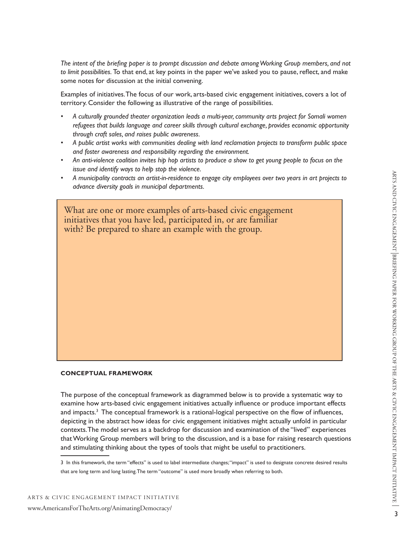*The intent of the briefing paper is to prompt discussion and debate among Working Group members, and not to limit possibilities.* To that end, at key points in the paper we've asked you to pause, reflect, and make some notes for discussion at the initial convening.

Examples of initiatives. The focus of our work, arts-based civic engagement initiatives, covers a lot of territory. Consider the following as illustrative of the range of possibilities.

- *• A culturally grounded theater organization leads a multi-year, community arts project for Somali women refugees that builds language and career skills through cultural exchange, provides economic opportunity through craft sales, and raises public awareness.*
- *• A public artist works with communities dealing with land reclamation projects to transform public space and foster awareness and responsibility regarding the environment.*
- *• An anti-violence coalition invites hip hop artists to produce a show to get young people to focus on the issue and identify ways to help stop the violence.*
- *• A municipality contracts an artist-in-residence to engage city employees over two years in art projects to advance diversity goals in municipal departments.*

What are one or more examples of arts-based civic engagement initiatives that you have led, participated in, or are familiar with? Be prepared to share an example with the group.

#### **Conceptual Framework**

The purpose of the conceptual framework as diagrammed below is to provide a systematic way to examine how arts-based civic engagement initiatives actually influence or produce important effects and impacts.<sup>3</sup> The conceptual framework is a rational-logical perspective on the flow of influences, depicting in the abstract how ideas for civic engagement initiatives might actually unfold in particular contexts. The model serves as a backdrop for discussion and examination of the "lived" experiences that Working Group members will bring to the discussion, and is a base for raising research questions and stimulating thinking about the types of tools that might be useful to practitioners.

<sup>3</sup> In this framework, the term "effects" is used to label intermediate changes; "impact" is used to designate concrete desired results that are long term and long lasting. The term "outcome" is used more broadly when referring to both.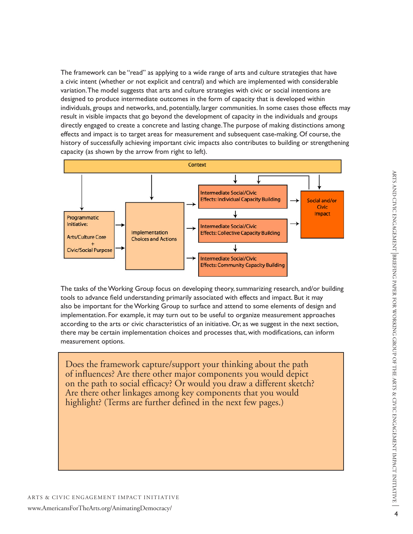The framework can be "read" as applying to a wide range of arts and culture strategies that have a civic intent (whether or not explicit and central) and which are implemented with considerable variation. The model suggests that arts and culture strategies with civic or social intentions are designed to produce intermediate outcomes in the form of capacity that is developed within individuals, groups and networks, and, potentially, larger communities. In some cases those effects may result in visible impacts that go beyond the development of capacity in the individuals and groups directly engaged to create a concrete and lasting change. The purpose of making distinctions among effects and impact is to target areas for measurement and subsequent case-making. Of course, the history of successfully achieving important civic impacts also contributes to building or strengthening capacity (as shown by the arrow from right to left).



The tasks of the Working Group focus on developing theory, summarizing research, and/or building tools to advance field understanding primarily associated with effects and impact. But it may also be important for the Working Group to surface and attend to some elements of design and implementation. For example, it may turn out to be useful to organize measurement approaches according to the arts or civic characteristics of an initiative. Or, as we suggest in the next section, there may be certain implementation choices and processes that, with modifications, can inform measurement options.

Does the framework capture/support your thinking about the path of influences? Are there other major components you would depict on the path to social efficacy? Or would you draw a different sketch? Are there other linkages among key components that you would highlight? (Terms are further defined in the next few pages.)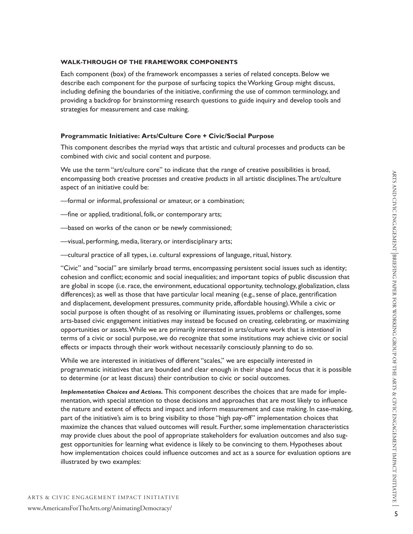### **Walk-Through of the Framework Components**

Each component (box) of the framework encompasses a series of related concepts. Below we describe each component for the purpose of surfacing topics the Working Group might discuss, including defining the boundaries of the initiative, confirming the use of common terminology, and providing a backdrop for brainstorming research questions to guide inquiry and develop tools and strategies for measurement and case making.

### **Programmatic Initiative: Arts/Culture Core + Civic/Social Purpose**

This component describes the myriad ways that artistic and cultural processes and products can be combined with civic and social content and purpose.

We use the term "art/culture core" to indicate that the range of creative possibilities is broad, encompassing both creative *processes* and creative *products* in all artistic disciplines. The art/culture aspect of an initiative could be:

- —formal or informal, professional or amateur, or a combination;
- —fine or applied, traditional, folk, or contemporary arts;
- —based on works of the canon or be newly commissioned;
- —visual, performing, media, literary, or interdisciplinary arts;
- —cultural practice of all types, i.e. cultural expressions of language, ritual, history.

"Civic" and "social" are similarly broad terms, encompassing persistent social issues such as identity; cohesion and conflict; economic and social inequalities; and important topics of public discussion that are global in scope (i.e. race, the environment, educational opportunity, technology, globalization, class differences); as well as those that have particular local meaning (e.g., sense of place, gentrification and displacement, development pressures, community pride, affordable housing). While a civic or social purpose is often thought of as resolving or illuminating issues, problems or challenges, some arts-based civic engagement initiatives may instead be focused on creating, celebrating, or maximizing opportunities or assets. While we are primarily interested in arts/culture work that is *intentional* in terms of a civic or social purpose, we do recognize that some institutions may achieve civic or social effects or impacts through their work without necessarily consciously planning to do so.

While we are interested in initiatives of different "scales," we are especially interested in programmatic initiatives that are bounded and clear enough in their shape and focus that it is possible to determine (or at least discuss) their contribution to civic or social outcomes.

*Implementation Choices and Actions.* This component describes the choices that are made for implementation, with special attention to those decisions and approaches that are most likely to influence the nature and extent of effects and impact and inform measurement and case making. In case-making, part of the initiative's aim is to bring visibility to those "high pay-off" implementation choices that maximize the chances that valued outcomes will result. Further, some implementation characteristics may provide clues about the pool of appropriate stakeholders for evaluation outcomes and also suggest opportunities for learning what evidence is likely to be convincing to them. Hypotheses about how implementation choices could influence outcomes and act as a source for evaluation options are illustrated by two examples: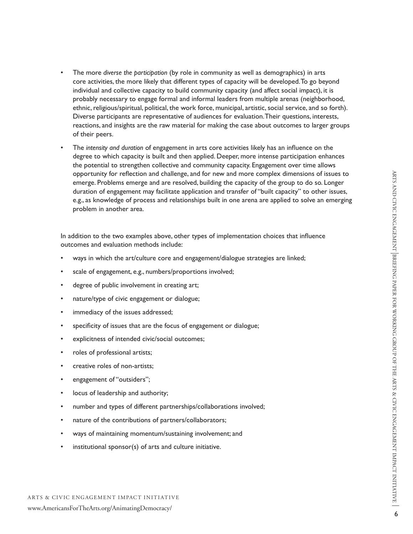- The more *diverse the participation* (by role in community as well as demographics) in arts core activities, the more likely that different types of capacity will be developed. To go beyond individual and collective capacity to build community capacity (and affect social impact), it is probably necessary to engage formal and informal leaders from multiple arenas (neighborhood, ethnic, religious/spiritual, political, the work force, municipal, artistic, social service, and so forth). Diverse participants are representative of audiences for evaluation. Their questions, interests, reactions, and insights are the raw material for making the case about outcomes to larger groups of their peers.
- The *intensity and duration* of engagement in arts core activities likely has an influence on the degree to which capacity is built and then applied. Deeper, more intense participation enhances the potential to strengthen collective and community capacity. Engagement over time allows opportunity for reflection and challenge, and for new and more complex dimensions of issues to emerge. Problems emerge and are resolved, building the capacity of the group to do so. Longer duration of engagement may facilitate application and transfer of "built capacity" to other issues, e.g., as knowledge of process and relationships built in one arena are applied to solve an emerging problem in another area.

In addition to the two examples above, other types of implementation choices that influence outcomes and evaluation methods include:

- ways in which the art/culture core and engagement/dialogue strategies are linked;
- scale of engagement, e.g., numbers/proportions involved;
- degree of public involvement in creating art;
- nature/type of civic engagement or dialogue;
- immediacy of the issues addressed;
- specificity of issues that are the focus of engagement or dialogue;
- explicitness of intended civic/social outcomes;
- roles of professional artists;
- creative roles of non-artists;
- engagement of "outsiders";
- locus of leadership and authority;
- number and types of different partnerships/collaborations involved;
- nature of the contributions of partners/collaborators;
- ways of maintaining momentum/sustaining involvement; and
- institutional sponsor $(s)$  of arts and culture initiative.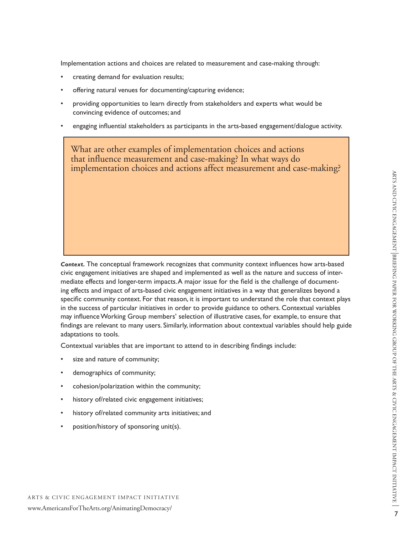Implementation actions and choices are related to measurement and case-making through:

- creating demand for evaluation results;
- offering natural venues for documenting/capturing evidence;
- providing opportunities to learn directly from stakeholders and experts what would be convincing evidence of outcomes; and
- engaging influential stakeholders as participants in the arts-based engagement/dialogue activity.

What are other examples of implementation choices and actions that influence measurement and case-making? In what ways do implementation choices and actions affect measurement and case-making?

*Context.* The conceptual framework recognizes that community context influences how arts-based civic engagement initiatives are shaped and implemented as well as the nature and success of intermediate effects and longer-term impacts. A major issue for the field is the challenge of documenting effects and impact of arts-based civic engagement initiatives in a way that generalizes beyond a specific community context. For that reason, it is important to understand the role that context plays in the success of particular initiatives in order to provide guidance to others. Contextual variables may influence Working Group members' selection of illustrative cases, for example, to ensure that findings are relevant to many users. Similarly, information about contextual variables should help guide adaptations to tools.

Contextual variables that are important to attend to in describing findings include:

- size and nature of community;
- demographics of community;
- cohesion/polarization within the community;
- history of/related civic engagement initiatives;
- history of/related community arts initiatives; and
- position/history of sponsoring unit(s).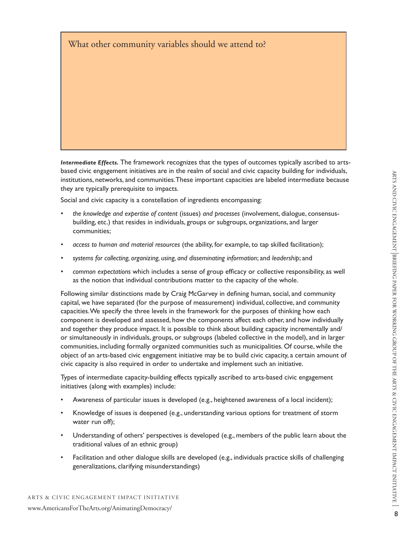## What other community variables should we attend to?

*Intermediate Effects.* The framework recognizes that the types of outcomes typically ascribed to artsbased civic engagement initiatives are in the realm of social and civic capacity building for individuals, institutions, networks, and communities. These important capacities are labeled intermediate because they are typically prerequisite to impacts.

Social and civic capacity is a constellation of ingredients encompassing:

- *• the knowledge and expertise of content* (issues) *and processes* (involvement, dialogue, consensusbuilding, etc.) that resides in individuals, groups or subgroups, organizations, and larger communities;
- *• access to human and material resources* (the ability, for example, to tap skilled facilitation);
- *• systems for collecting, organizing, using, and disseminating information*; and *leadership*; and
- *• common expectations* which includes a sense of group efficacy or collective responsibility, as well as the notion that individual contributions matter to the capacity of the whole.

Following similar distinctions made by Craig McGarvey in defining human, social, and community capital, we have separated (for the purpose of measurement) individual, collective, and community capacities. We specify the three levels in the framework for the purposes of thinking how each component is developed and assessed, how the components affect each other, and how individually and together they produce impact. It is possible to think about building capacity incrementally and/ or simultaneously in individuals, groups, or subgroups (labeled collective in the model), and in larger communities, including formally organized communities such as municipalities. Of course, while the object of an arts-based civic engagement initiative may be to build civic capacity, a certain amount of civic capacity is also required in order to undertake and implement such an initiative.

Types of intermediate capacity-building effects typically ascribed to arts-based civic engagement initiatives (along with examples) include:

- Awareness of particular issues is developed (e.g., heightened awareness of a local incident);
- Knowledge of issues is deepened (e.g., understanding various options for treatment of storm water run off);
- Understanding of others' perspectives is developed (e.g., members of the public learn about the traditional values of an ethnic group)
- Facilitation and other dialogue skills are developed (e.g., individuals practice skills of challenging generalizations, clarifying misunderstandings)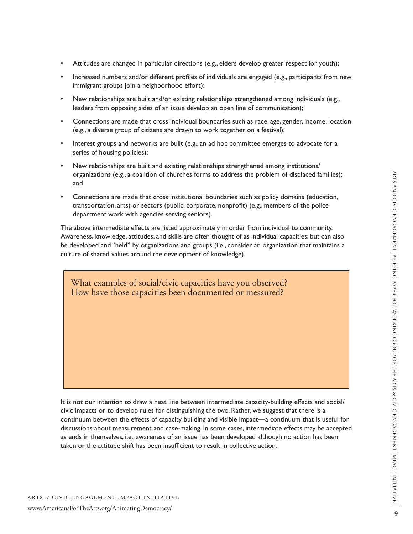- Attitudes are changed in particular directions (e.g., elders develop greater respect for youth);
- Increased numbers and/or different profiles of individuals are engaged (e.g., participants from new immigrant groups join a neighborhood effort);
- New relationships are built and/or existing relationships strengthened among individuals (e.g., leaders from opposing sides of an issue develop an open line of communication);
- Connections are made that cross individual boundaries such as race, age, gender, income, location (e.g., a diverse group of citizens are drawn to work together on a festival);
- Interest groups and networks are built (e.g., an ad hoc committee emerges to advocate for a series of housing policies);
- New relationships are built and existing relationships strengthened among institutions/ organizations (e.g., a coalition of churches forms to address the problem of displaced families); and
- Connections are made that cross institutional boundaries such as policy domains (education, transportation, arts) or sectors (public, corporate, nonprofit) (e.g., members of the police department work with agencies serving seniors).

The above intermediate effects are listed approximately in order from individual to community. Awareness, knowledge, attitudes, and skills are often thought of as individual capacities, but can also be developed and "held" by organizations and groups (i.e., consider an organization that maintains a culture of shared values around the development of knowledge).

What examples of social/civic capacities have you observed? How have those capacities been documented or measured?

It is not our intention to draw a neat line between intermediate capacity-building effects and social/ civic impacts or to develop rules for distinguishing the two. Rather, we suggest that there is a continuum between the effects of capacity building and visible impact—a continuum that is useful for discussions about measurement and case-making. In some cases, intermediate effects may be accepted as ends in themselves, i.e., awareness of an issue has been developed although no action has been taken or the attitude shift has been insufficient to result in collective action.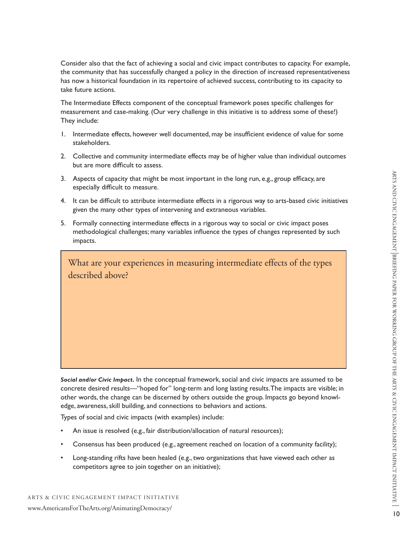A RTS

AN D

Consider also that the fact of achieving a social and civic impact contributes to capacity. For example, the community that has successfully changed a policy in the direction of increased representativeness has now a historical foundation in its repertoire of achieved success, contributing to its capacity to take future actions.

The Intermediate Effects component of the conceptual framework poses specific challenges for measurement and case-making. (Our very challenge in this initiative is to address some of these!) They include:

- 1. Intermediate effects, however well documented, may be insufficient evidence of value for some stakeholders.
- 2. Collective and community intermediate effects may be of higher value than individual outcomes but are more difficult to assess.
- 3. Aspects of capacity that might be most important in the long run, e.g., group efficacy, are especially difficult to measure.
- 4. It can be difficult to attribute intermediate effects in a rigorous way to arts-based civic initiatives given the many other types of intervening and extraneous variables.
- 5. Formally connecting intermediate effects in a rigorous way to social or civic impact poses methodological challenges; many variables influence the types of changes represented by such impacts.

What are your experiences in measuring intermediate effects of the types described above?

*Social and/or Civic Impact.* In the conceptual framework, social and civic impacts are assumed to be concrete desired results—"hoped for" long-term and long lasting results. The impacts are visible; in other words, the change can be discerned by others outside the group. Impacts go beyond knowledge, awareness, skill building, and connections to behaviors and actions.

Types of social and civic impacts (with examples) include:

- An issue is resolved (e.g., fair distribution/allocation of natural resources);
- Consensus has been produced (e.g., agreement reached on location of a community facility);
- Long-standing rifts have been healed (e.g., two organizations that have viewed each other as competitors agree to join together on an initiative);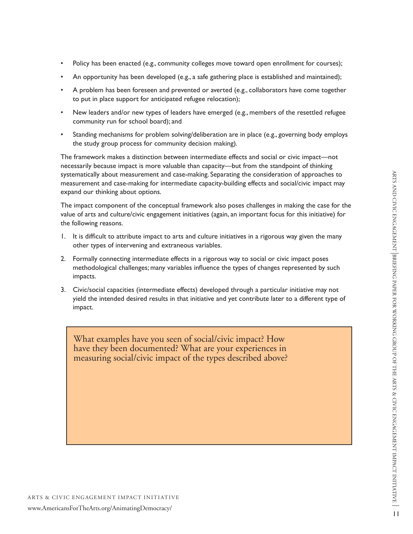- Policy has been enacted (e.g., community colleges move toward open enrollment for courses);
- An opportunity has been developed (e.g., a safe gathering place is established and maintained);
- A problem has been foreseen and prevented or averted (e.g., collaborators have come together to put in place support for anticipated refugee relocation);
- New leaders and/or new types of leaders have emerged (e.g., members of the resettled refugee community run for school board); and
- Standing mechanisms for problem solving/deliberation are in place (e.g., governing body employs the study group process for community decision making).

The framework makes a distinction between intermediate effects and social or civic impact—not necessarily because impact is more valuable than capacity—but from the standpoint of thinking systematically about measurement and case-making. Separating the consideration of approaches to measurement and case-making for intermediate capacity-building effects and social/civic impact may expand our thinking about options.

The impact component of the conceptual framework also poses challenges in making the case for the value of arts and culture/civic engagement initiatives (again, an important focus for this initiative) for the following reasons.

- 1. It is difficult to attribute impact to arts and culture initiatives in a rigorous way given the many other types of intervening and extraneous variables.
- 2. Formally connecting intermediate effects in a rigorous way to social or civic impact poses methodological challenges; many variables influence the types of changes represented by such impacts.
- 3. Civic/social capacities (intermediate effects) developed through a particular initiative may not yield the intended desired results in that initiative and yet contribute later to a different type of impact.

What examples have you seen of social/civic impact? How have they been documented? What are your experiences in measuring social/civic impact of the types described above?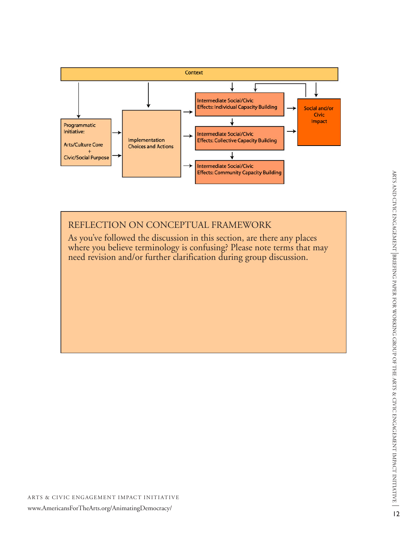

### REFLECTION ON CONCEPTUAL FRAMEWORK

As you've followed the discussion in this section, are there any places where you believe terminology is confusing? Please note terms that may need revision and/or further clarification during group discussion.

# www.AmericansForTheArts.org/AnimatingDemocracy/ ARTS & CIVIC ENGAGEMENT IMPACT INITIATIVE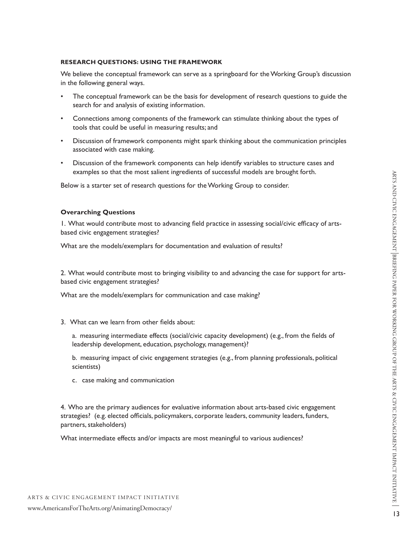A RTS

### **Research Questions: Using the Framework**

We believe the conceptual framework can serve as a springboard for the Working Group's discussion in the following general ways.

- The conceptual framework can be the basis for development of research questions to guide the search for and analysis of existing information.
- Connections among components of the framework can stimulate thinking about the types of tools that could be useful in measuring results; and
- Discussion of framework components might spark thinking about the communication principles associated with case making.
- Discussion of the framework components can help identify variables to structure cases and examples so that the most salient ingredients of successful models are brought forth.

Below is a starter set of research questions for the Working Group to consider.

### **Overarching Questions**

1. What would contribute most to advancing field practice in assessing social/civic efficacy of artsbased civic engagement strategies?

What are the models/exemplars for documentation and evaluation of results?

2. What would contribute most to bringing visibility to and advancing the case for support for artsbased civic engagement strategies?

What are the models/exemplars for communication and case making?

3. What can we learn from other fields about:

a. measuring intermediate effects (social/civic capacity development) (e.g., from the fields of leadership development, education, psychology, management)?

b. measuring impact of civic engagement strategies (e.g., from planning professionals, political scientists)

c. case making and communication

4. Who are the primary audiences for evaluative information about arts-based civic engagement strategies? (e.g. elected officials, policymakers, corporate leaders, community leaders, funders, partners, stakeholders)

What intermediate effects and/or impacts are most meaningful to various audiences?